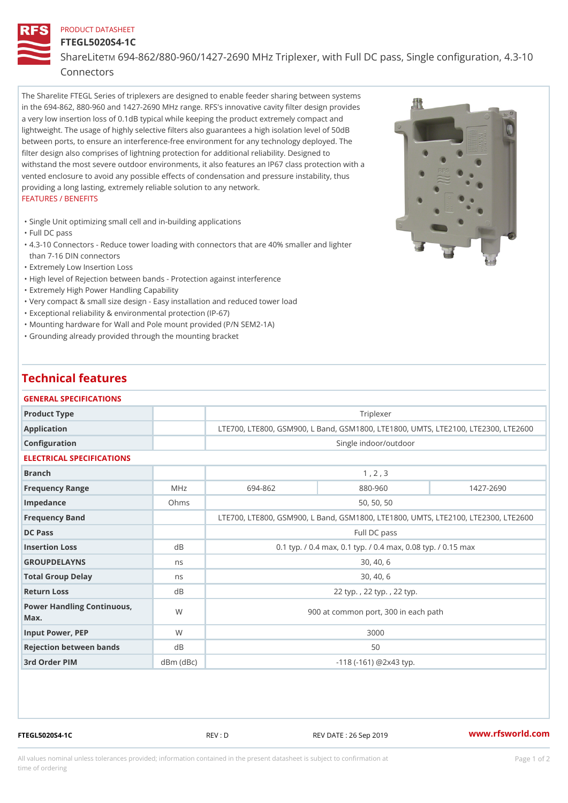## PRODUCT DATASHEET

## FTEGL5020S4-1C ShareLim  $694-862/880-960/1427-2690$  MHz Triplexer, with Full DC pass, Connectors

The Sharelite FTEGL Series of triplexers are designed to enable feeder sharing between systems in the 694-862, 880-960 and 1427-2690 MHz range. RFS's innovative cavity filter design provides a very low insertion loss of 0.1dB typical while keeping the product extremely compact and lightweight. The usage of highly selective filters also guarantees a high isolation level of 50dB between ports, to ensure an interference-free environment for any technology deployed. The filter design also comprises of lightning protection for additional reliability. Designed to withstand the most severe outdoor environments, it also features an IP67 class protection with a vented enclosure to avoid any possible effects of condensation and pressure instability, thus providing a long lasting, extremely reliable solution to any network. FEATURES / BENEFITS

"Single Unit optimizing small cell and in-building applications

"Full DC pass

- 4.3-10 Connectors Reduce tower loading with connectors that are 40% smaller and lighter " than 7-16 DIN connectors
- "Extremely Low Insertion Loss
- "High level of Rejection between bands Protection against interference
- "Extremely High Power Handling Capability
- "Very compact & small size design Easy installation and reduced tower load
- "Exceptional reliability & environmental protection (IP-67)
- "Mounting hardware for Wall and Pole mount provided (P/N SEM2-1A)
- "Grounding already provided through the mounting bracket

## Technical features

| GENERAL SPECIFICATIONS               |                |                                                         |                                                           |           |  |  |  |
|--------------------------------------|----------------|---------------------------------------------------------|-----------------------------------------------------------|-----------|--|--|--|
| Product Type                         |                |                                                         | Triplexer                                                 |           |  |  |  |
| Application                          |                |                                                         | LTE700, LTE800, GSM900, L Band, GSM1800, LTE1800, UMTS, L |           |  |  |  |
| Configuration                        |                |                                                         | Single indoor/outdoor                                     |           |  |  |  |
| ELECTRICAL SPECIFICATIONS            |                |                                                         |                                                           |           |  |  |  |
| Branch                               |                |                                                         | 1, 2, 3                                                   |           |  |  |  |
| Frequency Range                      | MHz            | 694-862                                                 | 880-960                                                   | 1427-2690 |  |  |  |
| Impedance                            | Ohms           |                                                         | 50, 50, 50                                                |           |  |  |  |
| Frequency Band                       |                |                                                         | LTE700, LTE800, GSM900, L Band, GSM1800, LTE1800, UMTS, L |           |  |  |  |
| DC Pass                              |                |                                                         | Full DC pass                                              |           |  |  |  |
| Insertion Loss                       | d B            | 0.1 typ. / 0.4 max, 0.1 typ. / 0.4 max, 0.08 typ. / 0.1 |                                                           |           |  |  |  |
| GROUPDELAYNS                         | n <sub>s</sub> |                                                         | 30, 40, 6                                                 |           |  |  |  |
| Total Group Delay                    | n s            |                                                         | 30, 40, 6                                                 |           |  |  |  |
| Return Loss                          | d B            |                                                         | 22 typ., 22 typ., 22 typ.                                 |           |  |  |  |
| Power Handling Continuous, W<br>Max. |                |                                                         | 900 at common port, 300 in each path                      |           |  |  |  |
| Input Power, PEP                     | W              |                                                         | 3000                                                      |           |  |  |  |
| Rejection between bands              | d B            |                                                         | 50                                                        |           |  |  |  |
| 3rd Order PIM                        | $dBm$ $(dBc)$  |                                                         | $-118$ ( $-161$ ) @ 2 x 4 3 typ.                          |           |  |  |  |

FTEGL5020S4-1C REV : D REV DATE : 26 Sep 2019 [www.](https://www.rfsworld.com)rfsworld.com